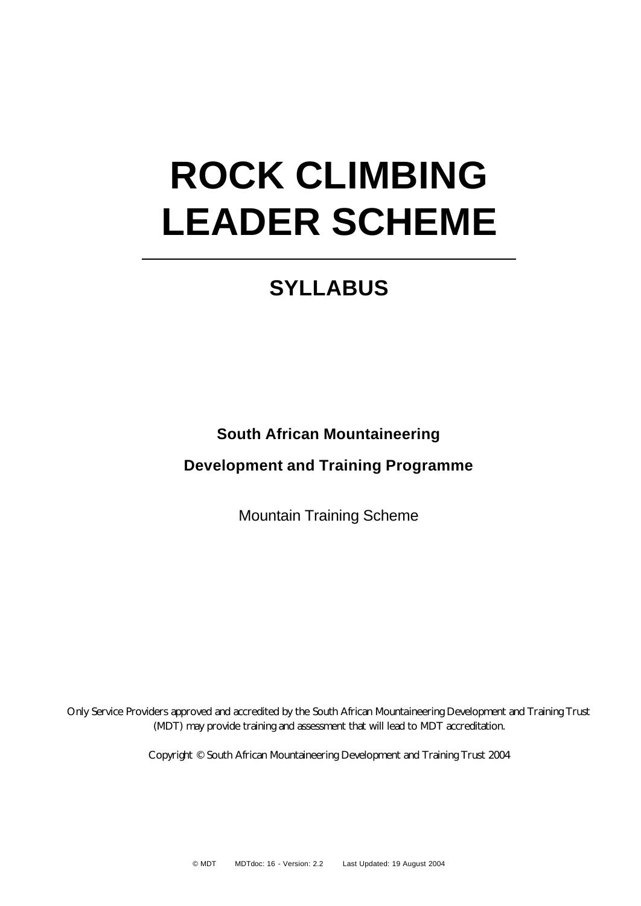# **ROCK CLIMBING LEADER SCHEME**

# **SYLLABUS**

**South African Mountaineering**

**Development and Training Programme**

Mountain Training Scheme

Only Service Providers approved and accredited by the South African Mountaineering Development and Training Trust (MDT) may provide training and assessment that will lead to MDT accreditation.

Copyright © South African Mountaineering Development and Training Trust 2004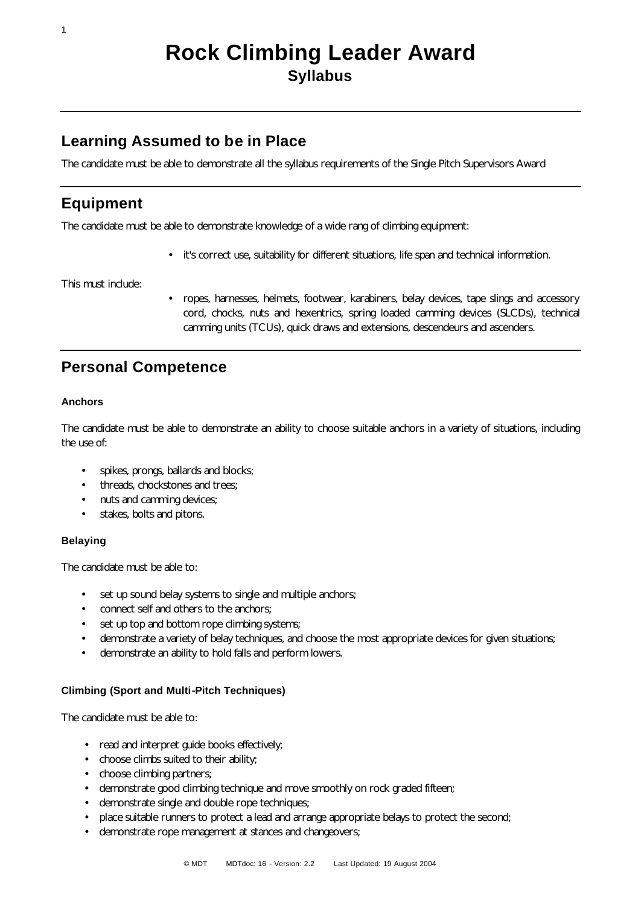## **Learning Assumed to be in Place**

The candidate must be able to demonstrate all the syllabus requirements of the Single Pitch Supervisors Award

## **Equipment**

1

The candidate must be able to demonstrate knowledge of a wide rang of climbing equipment:

• it's correct use, suitability for different situations, life span and technical information.

This must include:

• ropes, harnesses, helmets, footwear, karabiners, belay devices, tape slings and accessory cord, chocks, nuts and hexentrics, spring loaded camming devices (SLCDs), technical camming units (TCUs), quick draws and extensions, descendeurs and ascenders.

## **Personal Competence**

#### **Anchors**

The candidate must be able to demonstrate an ability to choose suitable anchors in a variety of situations, including the use of:

- spikes, prongs, ballards and blocks;
- threads, chockstones and trees;
- nuts and camming devices;
- stakes, bolts and pitons.

#### **Belaying**

The candidate must be able to:

- set up sound belay systems to single and multiple anchors;
- connect self and others to the anchors;
- set up top and bottom rope climbing systems;
- demonstrate a variety of belay techniques, and choose the most appropriate devices for given situations;
- demonstrate an ability to hold falls and perform lowers.

#### **Climbing (Sport and Multi-Pitch Techniques)**

The candidate must be able to:

- read and interpret guide books effectively;
- choose climbs suited to their ability;
- choose climbing partners;
- demonstrate good climbing technique and move smoothly on rock graded fifteen;
- demonstrate single and double rope techniques;
- place suitable runners to protect a lead and arrange appropriate belays to protect the second;
- demonstrate rope management at stances and changeovers;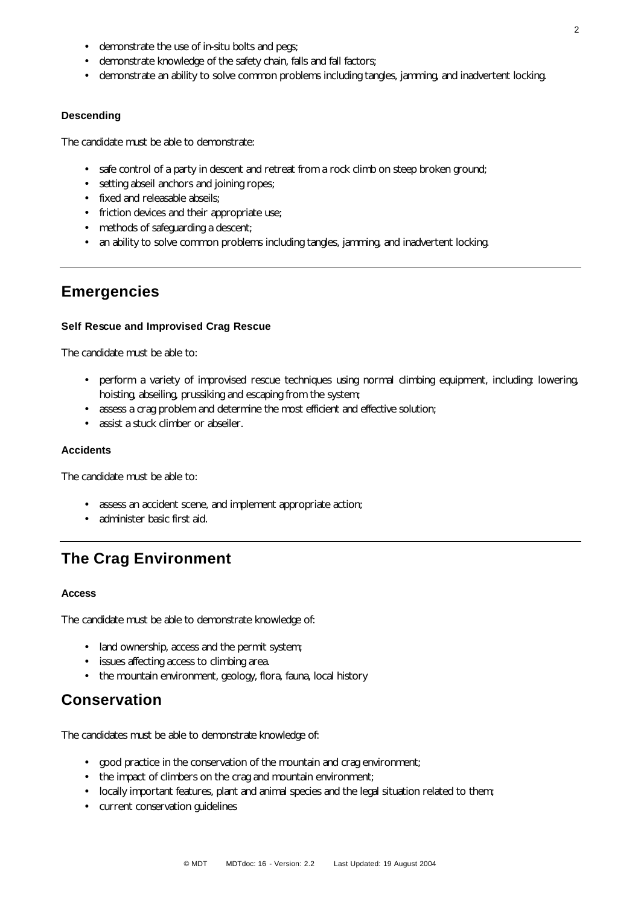- demonstrate the use of in-situ bolts and pegs;
- demonstrate knowledge of the safety chain, falls and fall factors;
- demonstrate an ability to solve common problems including tangles, jamming, and inadvertent locking.

#### **Descending**

The candidate must be able to demonstrate:

- safe control of a party in descent and retreat from a rock climb on steep broken ground;
- setting abseil anchors and joining ropes;
- fixed and releasable abseils;
- friction devices and their appropriate use;
- methods of safeguarding a descent;
- an ability to solve common problems including tangles, jamming, and inadvertent locking.

## **Emergencies**

#### **Self Rescue and Improvised Crag Rescue**

The candidate must be able to:

- perform a variety of improvised rescue techniques using normal climbing equipment, including: lowering, hoisting, abseiling, prussiking and escaping from the system;
- assess a crag problem and determine the most efficient and effective solution;
- assist a stuck climber or abseiler.

#### **Accidents**

The candidate must be able to:

- assess an accident scene, and implement appropriate action;
- administer basic first aid.

## **The Crag Environment**

#### **Access**

The candidate must be able to demonstrate knowledge of:

- land ownership, access and the permit system;
- issues affecting access to climbing area.
- the mountain environment, geology, flora, fauna, local history

### **Conservation**

The candidates must be able to demonstrate knowledge of:

- good practice in the conservation of the mountain and crag environment;
- the impact of climbers on the crag and mountain environment;
- locally important features, plant and animal species and the legal situation related to them;
- current conservation guidelines